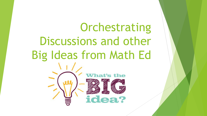# Orchestrating Discussions and other Big Ideas from Math Edt's the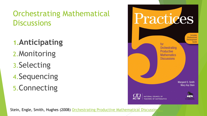## **1.Anticipating**

- 2.Monitoring
- 3.Selecting
- 4.Sequencing
- 5.Connecting



Stein, Engle, Smith, Hughes (2008) Orchestrating Productive Mathematical Discussion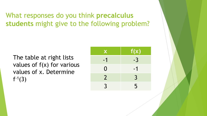What responses do you think **precalculus students** might give to the following problem?

The table at right lists values of  $f(x)$  for various values of x. Determine  $f^{-1}(3)$ 

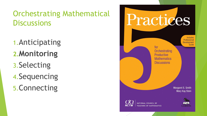1.Anticipating **2.Monitoring** 3.Selecting 4.Sequencing 5.Connecting

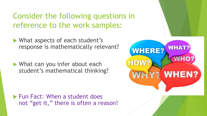Consider the following questions in reference to the work samples:

- What aspects of each student's response is mathematically relevant?
- What can you infer about each student's mathematical thinking?

**Fun Fact: When a student does** not "get it," there is often a reason!

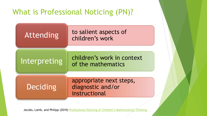## What is Professional Noticing (PN)?



Jacobs, Lamb, and Philipp (2010) [Professional Noticing of Children's Mathematical Thinking](http://www.jstor.org/stable/20720130)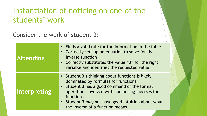## Instantiation of noticing on one of the students' work

Consider the work of student 3:

| <b>Attending</b>    | • Finds a valid rule for the information in the table<br>• Correctly sets up an equation to solve for the<br>inverse function<br>• Correctly substitutes the value "3" for the right<br>variable and identifies the requested value                                                              |
|---------------------|--------------------------------------------------------------------------------------------------------------------------------------------------------------------------------------------------------------------------------------------------------------------------------------------------|
| <b>Interpreting</b> | • Student 3's thinking about functions is likely<br>dominated by formulas for functions<br>• Student 3 has a good command of the formal<br>operations involved with computing inverses for<br>functions<br>• Student 3 may not have good intuition about what<br>the inverse of a function means |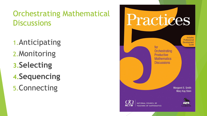1.Anticipating 2.Monitoring **3.Selecting 4.Sequencing** 5.Connecting

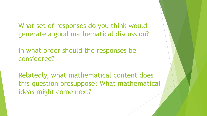What set of responses do you think would generate a good mathematical discussion?

In what order should the responses be considered?

Relatedly, what mathematical content does this question presuppose? What mathematical ideas might come next?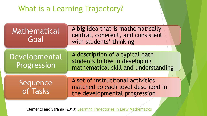## What is a Learning Trajectory?

| Mathematical<br>Goal         | A big idea that is mathematically<br>central, coherent, and consistent<br>with students' thinking        |
|------------------------------|----------------------------------------------------------------------------------------------------------|
|                              |                                                                                                          |
| Developmental<br>Progression | A description of a typical path<br>students follow in developing<br>mathematical skill and understanding |
|                              |                                                                                                          |
| Sequence<br>of Tasks         | A set of instructional activities<br>matched to each level described in<br>the developmental progression |
|                              |                                                                                                          |

Clements and Sarama (2010) [Learning Trajectories in Early Mathematics](http://www.child-encyclopedia.com/sites/default/files/textes-experts/en/784/learning-trajectories-in-early-mathematics-sequences-of-acquisition-and-teaching.pdf)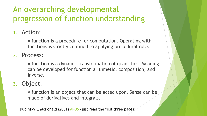## An overarching developmental progression of function understanding

#### 1. Action:

A function is a procedure for computation. Operating with functions is strictly confined to applying procedural rules.

#### 2. Process:

A function is a dynamic transformation of quantities. Meaning can be developed for function arithmetic, composition, and inverse.

#### 3. Object:

A function is an object that can be acted upon. Sense can be made of derivatives and integrals.

Dubinsky & McDonald (2001) [APOS](http://www.math.kent.edu/~edd/ICMIPaper.pdf) (just read the first three pages)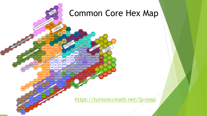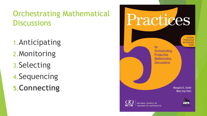1.Anticipating 2.Monitoring 3.Selecting 4.Sequencing **5.Connecting**

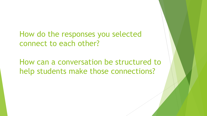How do the responses you selected connect to each other?

How can a conversation be structured to help students make those connections?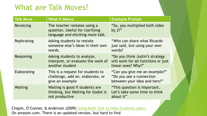## What are Talk Moves?

| <b>Talk Move</b> | <b>What it Means</b>                                                                                 | <b>Example Prompt</b>                                                                        |
|------------------|------------------------------------------------------------------------------------------------------|----------------------------------------------------------------------------------------------|
| <b>Revoicing</b> | The teacher restates using a<br>question. Useful for clarifying<br>language and eliciting more talk. | "So, you multiplied both sides<br>by $2$ ?"                                                  |
| Rephrasing       | Asking students to restate<br>someone else's ideas in their own<br>words.                            | "Who can share what Ricardo"<br>just said, but using your own<br>words?                      |
| Reasoning        | Asking students to analyze,<br>interpret, or evaluate the work of<br>another student                 | "Do you think Justin's strategy<br>will work for all functions or just<br>linear ones? Why?" |
| Elaborating      | This is a request for students to<br>challenge, add on, elaborate, or<br>give an example             | "Can you give me an example?"<br>"Do you see a connection"<br>between your idea and hers?"   |
| Waiting          | Waiting is good if students are<br>thinking, but Waiting for Godot is<br>not productive              | "This question is important.<br>Let's take some time to think<br>about it"                   |

Chapin, O'Conner, & Anderson (2009) [Using Math Talk to Help Students Learn.](https://www.amazon.com/Classroom-Discussions-Using-Students-Learn/dp/1935099019/ref=sr_1_fkmr0_2?ie=UTF8&qid=1487088077&sr=8-2-fkmr0&keywords=Chapin+O%E2%80%99Conner+Anderson+Classroom+Discussions+Using+Math+Talk+to+Help+Students+Learn) On amazon.com. There is an updated version, but hard to find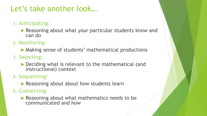## Let's take another look…

- 1. Anticipating:
	- **Reasoning about what your particular students know and** can do
- 2. Monitoring:
	- Making sense of students' mathematical productions
- 3. Selecting:
	- ▶ Deciding what is relevant to the mathematical (and instructional) context
- 4. Sequencing:
	- **Reasoning about about how students learn**
- 5. Connecting:
	- Reasoning about what mathematics needs to be communicated and how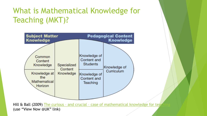## What is Mathematical Knowledge for Teaching (MKT)?



Hill & Ball (2009) The curious - and crucial - case of mathematical knowledge for tear (use "View Now @UK" link)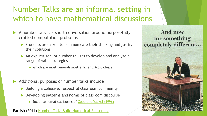## Number Talks are an informal setting in which to have mathematical discussions

- A number talk is a short conversation around purposefully crafted computation problems
	- $\triangleright$  Students are asked to communicate their thinking and justify their solutions
	- An explicit goal of number talks is to develop and analyze a range of valid strategies
		- ▶ Which are most general? Most efficient? Most clear?
- Additional purposes of number talks include
	- Building a cohesive, respectful classroom community
	- Developing patterns and norms of classroom discourse
		- ▶ Sociomathematical Norms of [Cobb and Yackel](http://mathed811fall2014.pbworks.com/w/file/fetch/84888112/Cobb-Yackel-Constructivist, Emergent.pdf) (1996)

Parrish (2011) [Number Talks Build Numerical Reasoning](http://www.jstor.org/stable/10.5951/teacchilmath.18.3.0198)

And now for something completely different...